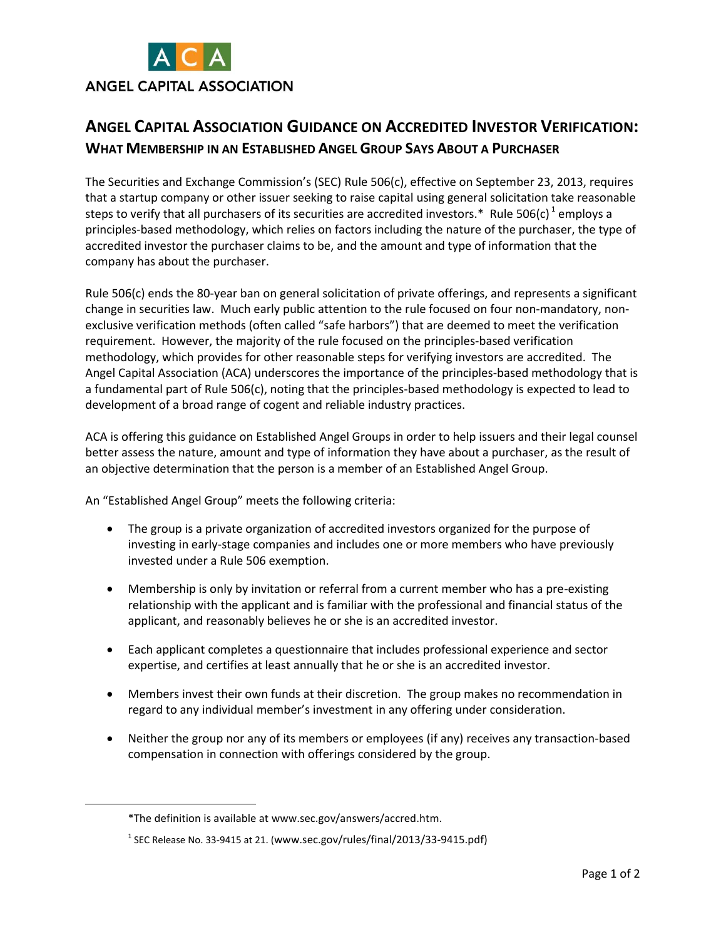

## **ANGEL CAPITAL ASSOCIATION GUIDANCE ON ACCREDITED INVESTOR VERIFICATION: WHAT MEMBERSHIP IN AN ESTABLISHED ANGEL GROUP SAYS ABOUT A PURCHASER**

The Securities and Exchange Commission's (SEC) Rule 506(c), effective on September 23, 2013, requires that a startup company or other issuer seeking to raise capital using general solicitation take reasonable steps to verify that all purchasers of its securities are accredited investors.\* Rule 506(c)  $^1$  employs a principles-based methodology, which relies on factors including the nature of the purchaser, the type of accredited investor the purchaser claims to be, and the amount and type of information that the company has about the purchaser.

Rule 506(c) ends the 80-year ban on general solicitation of private offerings, and represents a significant change in securities law. Much early public attention to the rule focused on four non-mandatory, nonexclusive verification methods (often called "safe harbors") that are deemed to meet the verification requirement. However, the majority of the rule focused on the principles-based verification methodology, which provides for other reasonable steps for verifying investors are accredited. The Angel Capital Association (ACA) underscores the importance of the principles-based methodology that is a fundamental part of Rule 506(c), noting that the principles-based methodology is expected to lead to development of a broad range of cogent and reliable industry practices.

ACA is offering this guidance on Established Angel Groups in order to help issuers and their legal counsel better assess the nature, amount and type of information they have about a purchaser, as the result of an objective determination that the person is a member of an Established Angel Group.

An "Established Angel Group" meets the following criteria:

- The group is a private organization of accredited investors organized for the purpose of investing in early-stage companies and includes one or more members who have previously invested under a Rule 506 exemption.
- Membership is only by invitation or referral from a current member who has a pre-existing relationship with the applicant and is familiar with the professional and financial status of the applicant, and reasonably believes he or she is an accredited investor.
- Each applicant completes a questionnaire that includes professional experience and sector expertise, and certifies at least annually that he or she is an accredited investor.
- Members invest their own funds at their discretion. The group makes no recommendation in regard to any individual member's investment in any offering under consideration.
- Neither the group nor any of its members or employees (if any) receives any transaction-based compensation in connection with offerings considered by the group.

 $\overline{a}$ 

<sup>\*</sup>The definition is available at www.sec.gov/answers/accred.htm.

 $^1$  SEC Release No. 33-9415 at 21. (www.sec.gov/rules/final/2013/33-9415.pdf)